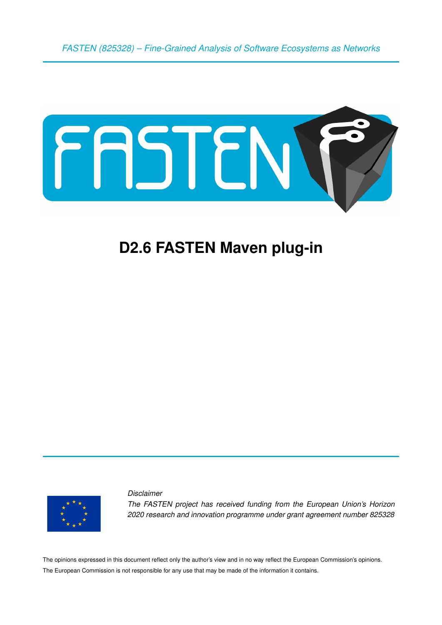*FASTEN (825328) – Fine-Grained Analysis of Software Ecosystems as Networks*



# **D2.6 FASTEN Maven plug-in**



*Disclaimer The FASTEN project has received funding from the European Union's Horizon 2020 research and innovation programme under grant agreement number 825328*

The opinions expressed in this document reflect only the author's view and in no way reflect the European Commission's opinions. The European Commission is not responsible for any use that may be made of the information it contains.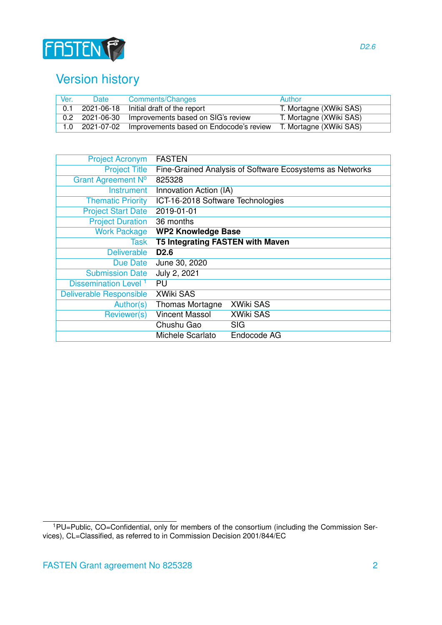

# Version history

| Ver. | Date       | <b>Comments/Changes</b>                                | Author                  |
|------|------------|--------------------------------------------------------|-------------------------|
| 0.1  | 2021-06-18 | Initial draft of the report                            | T. Mortagne (XWiki SAS) |
|      |            | 0.2 2021-06-30 Improvements based on SIG's review      | T. Mortagne (XWiki SAS) |
|      |            | 1.0 2021-07-02 Improvements based on Endocode's review | T. Mortagne (XWiki SAS) |

| <b>Project Acronym</b>           | <b>FASTEN</b>                           |                                                          |
|----------------------------------|-----------------------------------------|----------------------------------------------------------|
| <b>Project Title</b>             |                                         | Fine-Grained Analysis of Software Ecosystems as Networks |
| Grant Agreement Nº               | 825328                                  |                                                          |
| Instrument                       | Innovation Action (IA)                  |                                                          |
| <b>Thematic Priority</b>         | ICT-16-2018 Software Technologies       |                                                          |
| <b>Project Start Date</b>        | 2019-01-01                              |                                                          |
| <b>Project Duration</b>          | 36 months                               |                                                          |
| <b>Work Package</b>              | <b>WP2 Knowledge Base</b>               |                                                          |
| Task                             | <b>T5 Integrating FASTEN with Maven</b> |                                                          |
| <b>Deliverable</b>               | D <sub>2.6</sub>                        |                                                          |
| Due Date                         | June 30, 2020                           |                                                          |
| <b>Submission Date</b>           | July 2, 2021                            |                                                          |
| Dissemination Level <sup>1</sup> | PU                                      |                                                          |
| Deliverable Responsible          | <b>XWiki SAS</b>                        |                                                          |
| Author(s)                        | <b>Thomas Mortagne</b>                  | <b>XWiki SAS</b>                                         |
| Reviewer(s)                      | <b>Vincent Massol</b>                   | <b>XWiki SAS</b>                                         |
|                                  | Chushu Gao                              | <b>SIG</b>                                               |
|                                  | Michele Scarlato                        | Endocode AG                                              |

<span id="page-1-0"></span><sup>&</sup>lt;sup>1</sup>PU=Public, CO=Confidential, only for members of the consortium (including the Commission Services), CL=Classified, as referred to in Commission Decision 2001/844/EC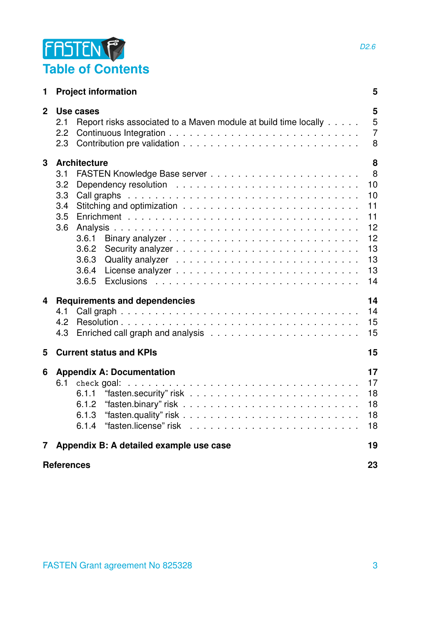

| 1                       | 5<br><b>Project information</b>                                                                   |                                                                    |  |  |  |
|-------------------------|---------------------------------------------------------------------------------------------------|--------------------------------------------------------------------|--|--|--|
| $\overline{2}$          | Use cases<br>Report risks associated to a Maven module at build time locally<br>2.1<br>2.2<br>2.3 | 5<br>5<br>$\overline{7}$<br>8                                      |  |  |  |
| $\mathbf{3}$            | <b>Architecture</b><br>3.1<br>3.2<br>3.3<br>3.4<br>3.5<br>3.6<br>3.6.3<br>3.6.4                   | 8<br>8<br>10<br>10<br>11<br>11<br>12<br>12<br>13<br>13<br>13<br>14 |  |  |  |
| $\overline{\mathbf{4}}$ | <b>Requirements and dependencies</b><br>4.1<br>4.2<br>4.3                                         | 14<br>14<br>15<br>15                                               |  |  |  |
| 5                       | <b>Current status and KPIs</b>                                                                    | 15                                                                 |  |  |  |
| 6                       | <b>Appendix A: Documentation</b><br>6.1<br>check goal:<br>6.1.1<br>6.1.2<br>6.1.3<br>6.1.4        | 17<br>17<br>18<br>18<br>18<br>18                                   |  |  |  |
| 7 <sup>1</sup>          | Appendix B: A detailed example use case                                                           | 19                                                                 |  |  |  |
|                         | <b>References</b>                                                                                 | 23                                                                 |  |  |  |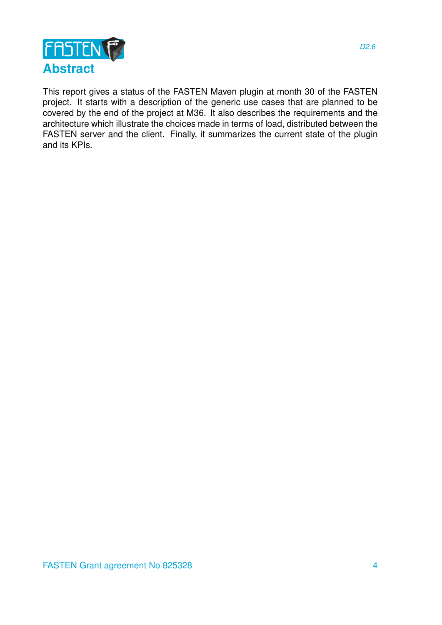

This report gives a status of the FASTEN Maven plugin at month 30 of the FASTEN project. It starts with a description of the generic use cases that are planned to be covered by the end of the project at M36. It also describes the requirements and the architecture which illustrate the choices made in terms of load, distributed between the FASTEN server and the client. Finally, it summarizes the current state of the plugin and its KPIs.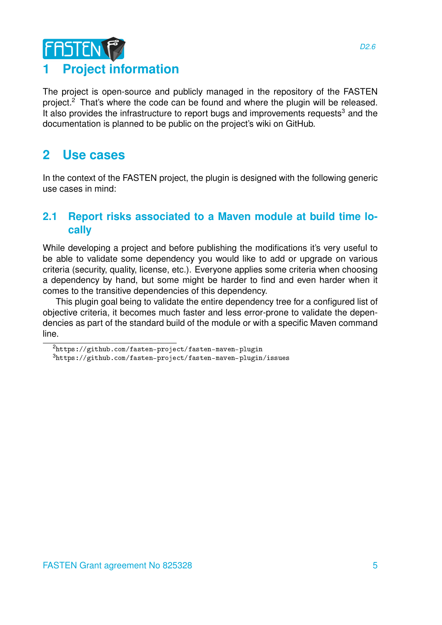# **FASTEN 1 Project information**

<span id="page-4-0"></span>The project is open-source and publicly managed in the repository of the FASTEN project.<sup>[2](#page-4-3)</sup> That's where the code can be found and where the plugin will be released. It also provides the infrastructure to report bugs and improvements requests $3$  and the documentation is planned to be public on the project's wiki on GitHub.

## <span id="page-4-1"></span>**2 Use cases**

In the context of the FASTEN project, the plugin is designed with the following generic use cases in mind:

## <span id="page-4-2"></span>**2.1 Report risks associated to a Maven module at build time locally**

While developing a project and before publishing the modifications it's very useful to be able to validate some dependency you would like to add or upgrade on various criteria (security, quality, license, etc.). Everyone applies some criteria when choosing a dependency by hand, but some might be harder to find and even harder when it comes to the transitive dependencies of this dependency.

This plugin goal being to validate the entire dependency tree for a configured list of objective criteria, it becomes much faster and less error-prone to validate the dependencies as part of the standard build of the module or with a specific Maven command line.

<span id="page-4-3"></span> $2$ <https://github.com/fasten-project/fasten-maven-plugin>

<span id="page-4-4"></span><sup>3</sup><https://github.com/fasten-project/fasten-maven-plugin/issues>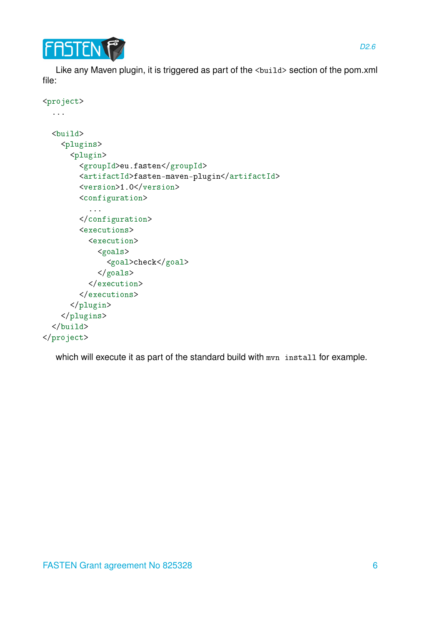

Like any Maven plugin, it is triggered as part of the <br />build> section of the pom.xml file:

```
<project>
 ...
 <build>
    <plugins>
      <plugin>
        <groupId>eu.fasten</groupId>
        <artifactId>fasten-maven-plugin</artifactId>
        <version>1.0</version>
        <configuration>
          ...
        </configuration>
        <executions>
          <execution>
            <goals>
              <goal>check</goal>
            </goals>
          </execution>
        </executions>
      </plugin>
    </plugins>
 </build>
</project>
```
which will execute it as part of the standard build with mvn install for example.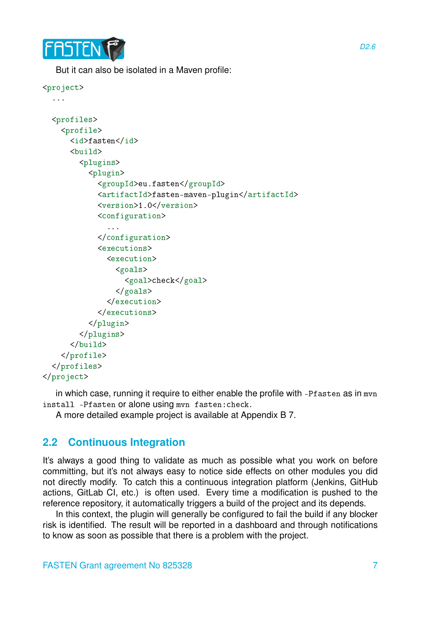

But it can also be isolated in a Maven profile:

```
<project>
  ...
  <profiles>
    <profile>
      <id>fasten</id>
      <build>
        <plugins>
          <plugin>
            <groupId>eu.fasten</groupId>
            <artifactId>fasten-maven-plugin</artifactId>
            <version>1.0</version>
            <configuration>
               ...
            </configuration>
            <executions>
              <execution>
                 <goals>
                   <goal>check</goal>
                 </goals>
              </execution>
            </executions>
          </plugin>
        </plugins>
      </build>
    </profile>
 </profiles>
```
</project>

in which case, running it require to either enable the profile with -Pf as ten as in mvn install -Pfasten or alone using mvn fasten:check.

A more detailed example project is available at Appendix B [7.](#page-18-0)

## <span id="page-6-0"></span>**2.2 Continuous Integration**

It's always a good thing to validate as much as possible what you work on before committing, but it's not always easy to notice side effects on other modules you did not directly modify. To catch this a continuous integration platform (Jenkins, GitHub actions, GitLab CI, etc.) is often used. Every time a modification is pushed to the reference repository, it automatically triggers a build of the project and its depends.

In this context, the plugin will generally be configured to fail the build if any blocker risk is identified. The result will be reported in a dashboard and through notifications to know as soon as possible that there is a problem with the project.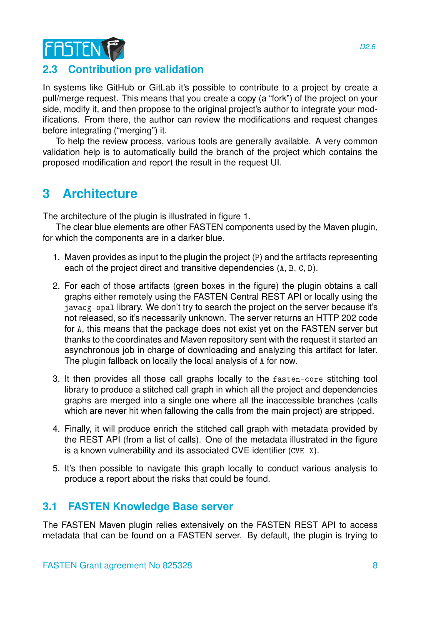

### <span id="page-7-0"></span>**2.3 Contribution pre validation**

In systems like GitHub or GitLab it's possible to contribute to a project by create a pull/merge request. This means that you create a copy (a "fork") of the project on your side, modify it, and then propose to the original project's author to integrate your modifications. From there, the author can review the modifications and request changes before integrating ("merging") it.

To help the review process, various tools are generally available. A very common validation help is to automatically build the branch of the project which contains the proposed modification and report the result in the request UI.

## <span id="page-7-1"></span>**3 Architecture**

The architecture of the plugin is illustrated in figure [1.](#page-8-0)

The clear blue elements are other FASTEN components used by the Maven plugin, for which the components are in a darker blue.

- 1. Maven provides as input to the plugin the project (P) and the artifacts representing each of the project direct and transitive dependencies (A, B, C, D).
- 2. For each of those artifacts (green boxes in the figure) the plugin obtains a call graphs either remotely using the FASTEN Central REST API or locally using the javacg-opal library. We don't try to search the project on the server because it's not released, so it's necessarily unknown. The server returns an HTTP 202 code for A, this means that the package does not exist yet on the FASTEN server but thanks to the coordinates and Maven repository sent with the request it started an asynchronous job in charge of downloading and analyzing this artifact for later. The plugin fallback on locally the local analysis of A for now.
- 3. It then provides all those call graphs locally to the fasten-core stitching tool library to produce a stitched call graph in which all the project and dependencies graphs are merged into a single one where all the inaccessible branches (calls which are never hit when fallowing the calls from the main project) are stripped.
- 4. Finally, it will produce enrich the stitched call graph with metadata provided by the REST API (from a list of calls). One of the metadata illustrated in the figure is a known vulnerability and its associated CVE identifier (CVE X).
- 5. It's then possible to navigate this graph locally to conduct various analysis to produce a report about the risks that could be found.

### <span id="page-7-2"></span>**3.1 FASTEN Knowledge Base server**

The FASTEN Maven plugin relies extensively on the FASTEN REST API to access metadata that can be found on a FASTEN server. By default, the plugin is trying to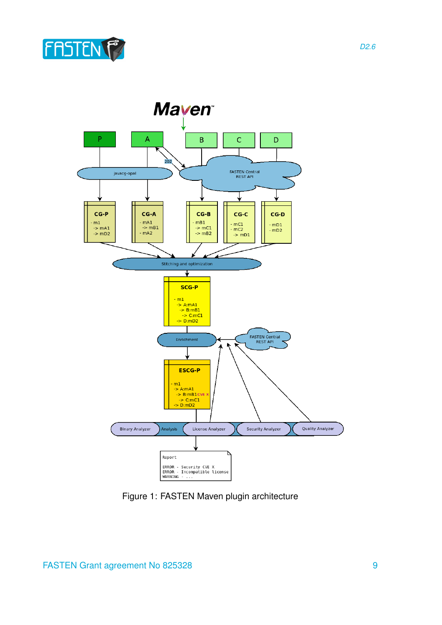



<span id="page-8-0"></span>Figure 1: FASTEN Maven plugin architecture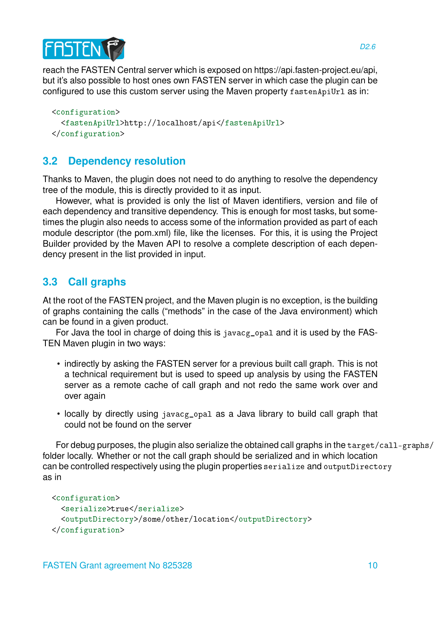

reach the FASTEN Central server which is exposed on https://api.fasten-project.eu/api, but it's also possible to host ones own FASTEN server in which case the plugin can be configured to use this custom server using the Maven property fastenApiUrl as in:

```
<configuration>
  <fastenApiUrl>http://localhost/api</fastenApiUrl>
</configuration>
```
## <span id="page-9-0"></span>**3.2 Dependency resolution**

Thanks to Maven, the plugin does not need to do anything to resolve the dependency tree of the module, this is directly provided to it as input.

However, what is provided is only the list of Maven identifiers, version and file of each dependency and transitive dependency. This is enough for most tasks, but sometimes the plugin also needs to access some of the information provided as part of each module descriptor (the pom.xml) file, like the licenses. For this, it is using the Project Builder provided by the Maven API to resolve a complete description of each dependency present in the list provided in input.

## <span id="page-9-1"></span>**3.3 Call graphs**

At the root of the FASTEN project, and the Maven plugin is no exception, is the building of graphs containing the calls ("methods" in the case of the Java environment) which can be found in a given product.

For Java the tool in charge of doing this is javacg\_opal and it is used by the FAS-TEN Maven plugin in two ways:

- indirectly by asking the FASTEN server for a previous built call graph. This is not a technical requirement but is used to speed up analysis by using the FASTEN server as a remote cache of call graph and not redo the same work over and over again
- locally by directly using javacg\_opal as a Java library to build call graph that could not be found on the server

For debug purposes, the plugin also serialize the obtained call graphs in the target/call-graphs/ folder locally. Whether or not the call graph should be serialized and in which location can be controlled respectively using the plugin properties serialize and outputDirectory as in

```
<configuration>
  <serialize>true</serialize>
  <outputDirectory>/some/other/location</outputDirectory>
</configuration>
```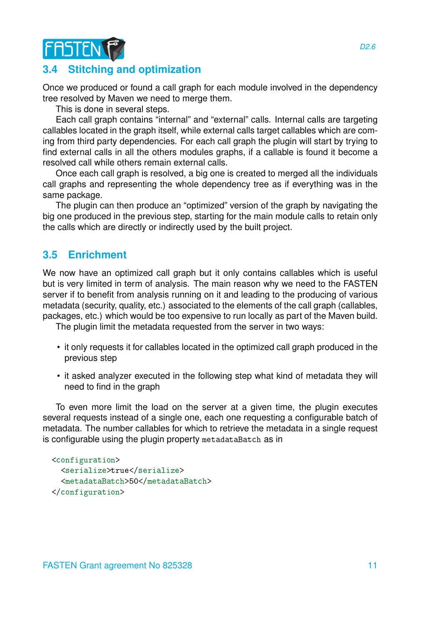

### <span id="page-10-0"></span>**3.4 Stitching and optimization**

Once we produced or found a call graph for each module involved in the dependency tree resolved by Maven we need to merge them.

This is done in several steps.

Each call graph contains "internal" and "external" calls. Internal calls are targeting callables located in the graph itself, while external calls target callables which are coming from third party dependencies. For each call graph the plugin will start by trying to find external calls in all the others modules graphs, if a callable is found it become a resolved call while others remain external calls.

Once each call graph is resolved, a big one is created to merged all the individuals call graphs and representing the whole dependency tree as if everything was in the same package.

The plugin can then produce an "optimized" version of the graph by navigating the big one produced in the previous step, starting for the main module calls to retain only the calls which are directly or indirectly used by the built project.

### <span id="page-10-1"></span>**3.5 Enrichment**

We now have an optimized call graph but it only contains callables which is useful but is very limited in term of analysis. The main reason why we need to the FASTEN server if to benefit from analysis running on it and leading to the producing of various metadata (security, quality, etc.) associated to the elements of the call graph (callables, packages, etc.) which would be too expensive to run locally as part of the Maven build.

The plugin limit the metadata requested from the server in two ways:

- it only requests it for callables located in the optimized call graph produced in the previous step
- it asked analyzer executed in the following step what kind of metadata they will need to find in the graph

To even more limit the load on the server at a given time, the plugin executes several requests instead of a single one, each one requesting a configurable batch of metadata. The number callables for which to retrieve the metadata in a single request is configurable using the plugin property metadataBatch as in

```
<configuration>
  <serialize>true</serialize>
  <metadataBatch>50</metadataBatch>
</configuration>
```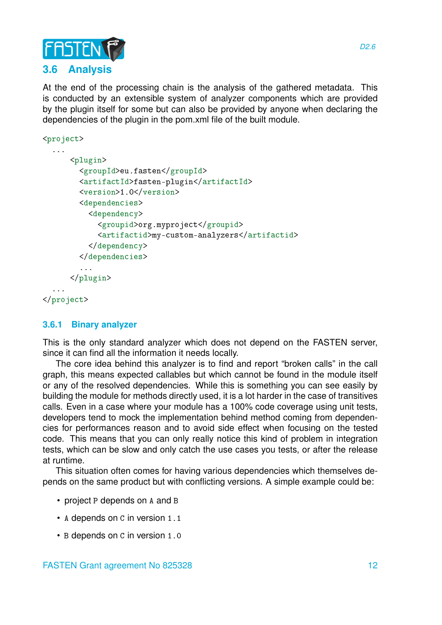

<span id="page-11-0"></span>At the end of the processing chain is the analysis of the gathered metadata. This is conducted by an extensible system of analyzer components which are provided by the plugin itself for some but can also be provided by anyone when declaring the dependencies of the plugin in the pom.xml file of the built module.

```
<project>
  ...
      <plugin>
        <groupId>eu.fasten</groupId>
        <artifactId>fasten-plugin</artifactId>
        <version>1.0</version>
        <dependencies>
          <dependency>
            <groupid>org.myproject</groupid>
            <artifactid>my-custom-analyzers</artifactid>
          </dependency>
        </dependencies>
        ...
      </plugin>
  ...
</project>
```
#### <span id="page-11-1"></span>**3.6.1 Binary analyzer**

This is the only standard analyzer which does not depend on the FASTEN server, since it can find all the information it needs locally.

The core idea behind this analyzer is to find and report "broken calls" in the call graph, this means expected callables but which cannot be found in the module itself or any of the resolved dependencies. While this is something you can see easily by building the module for methods directly used, it is a lot harder in the case of transitives calls. Even in a case where your module has a 100% code coverage using unit tests, developers tend to mock the implementation behind method coming from dependencies for performances reason and to avoid side effect when focusing on the tested code. This means that you can only really notice this kind of problem in integration tests, which can be slow and only catch the use cases you tests, or after the release at runtime.

This situation often comes for having various dependencies which themselves depends on the same product but with conflicting versions. A simple example could be:

- project P depends on A and B
- A depends on C in version 1.1
- B depends on C in version 1.0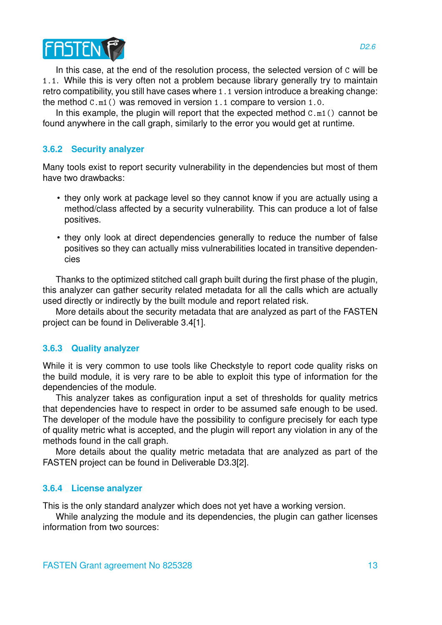

In this case, at the end of the resolution process, the selected version of C will be 1.1. While this is very often not a problem because library generally try to maintain retro compatibility, you still have cases where 1.1 version introduce a breaking change: the method C.m1() was removed in version 1.1 compare to version 1.0.

In this example, the plugin will report that the expected method  $C.m1()$  cannot be found anywhere in the call graph, similarly to the error you would get at runtime.

#### <span id="page-12-0"></span>**3.6.2 Security analyzer**

Many tools exist to report security vulnerability in the dependencies but most of them have two drawbacks:

- they only work at package level so they cannot know if you are actually using a method/class affected by a security vulnerability. This can produce a lot of false positives.
- they only look at direct dependencies generally to reduce the number of false positives so they can actually miss vulnerabilities located in transitive dependencies

Thanks to the optimized stitched call graph built during the first phase of the plugin, this analyzer can gather security related metadata for all the calls which are actually used directly or indirectly by the built module and report related risk.

More details about the security metadata that are analyzed as part of the FASTEN project can be found in Deliverable 3.4[1].

#### <span id="page-12-1"></span>**3.6.3 Quality analyzer**

While it is very common to use tools like Checkstyle to report code quality risks on the build module, it is very rare to be able to exploit this type of information for the dependencies of the module.

This analyzer takes as configuration input a set of thresholds for quality metrics that dependencies have to respect in order to be assumed safe enough to be used. The developer of the module have the possibility to configure precisely for each type of quality metric what is accepted, and the plugin will report any violation in any of the methods found in the call graph.

More details about the quality metric metadata that are analyzed as part of the FASTEN project can be found in Deliverable D3.3[2].

#### <span id="page-12-2"></span>**3.6.4 License analyzer**

This is the only standard analyzer which does not yet have a working version.

While analyzing the module and its dependencies, the plugin can gather licenses information from two sources: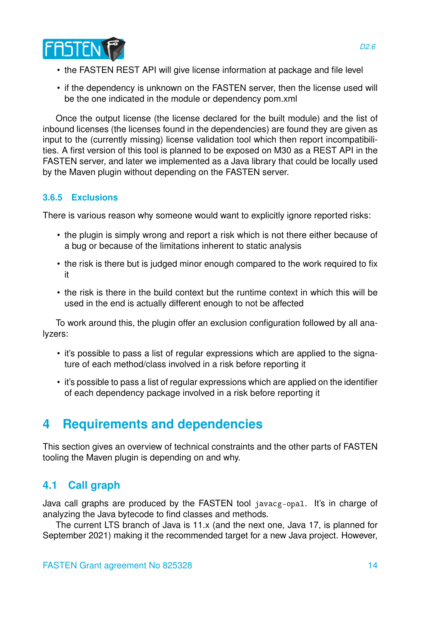

- the FASTEN REST API will give license information at package and file level
- if the dependency is unknown on the FASTEN server, then the license used will be the one indicated in the module or dependency pom.xml

Once the output license (the license declared for the built module) and the list of inbound licenses (the licenses found in the dependencies) are found they are given as input to the (currently missing) license validation tool which then report incompatibilities. A first version of this tool is planned to be exposed on M30 as a REST API in the FASTEN server, and later we implemented as a Java library that could be locally used by the Maven plugin without depending on the FASTEN server.

#### <span id="page-13-0"></span>**3.6.5 Exclusions**

There is various reason why someone would want to explicitly ignore reported risks:

- the plugin is simply wrong and report a risk which is not there either because of a bug or because of the limitations inherent to static analysis
- the risk is there but is judged minor enough compared to the work required to fix it
- the risk is there in the build context but the runtime context in which this will be used in the end is actually different enough to not be affected

To work around this, the plugin offer an exclusion configuration followed by all analyzers:

- it's possible to pass a list of regular expressions which are applied to the signature of each method/class involved in a risk before reporting it
- it's possible to pass a list of regular expressions which are applied on the identifier of each dependency package involved in a risk before reporting it

## <span id="page-13-1"></span>**4 Requirements and dependencies**

This section gives an overview of technical constraints and the other parts of FASTEN tooling the Maven plugin is depending on and why.

## <span id="page-13-2"></span>**4.1 Call graph**

Java call graphs are produced by the FASTEN tool javacg-opal. It's in charge of analyzing the Java bytecode to find classes and methods.

The current LTS branch of Java is 11.x (and the next one, Java 17, is planned for September 2021) making it the recommended target for a new Java project. However,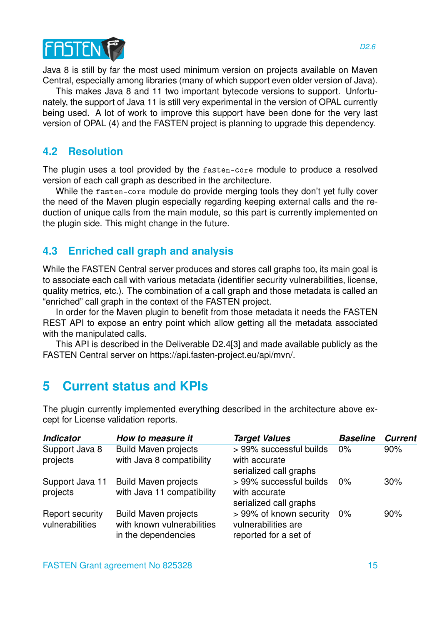

Java 8 is still by far the most used minimum version on projects available on Maven Central, especially among libraries (many of which support even older version of Java).

This makes Java 8 and 11 two important bytecode versions to support. Unfortunately, the support of Java 11 is still very experimental in the version of OPAL currently being used. A lot of work to improve this support have been done for the very last version of OPAL (4) and the FASTEN project is planning to upgrade this dependency.

#### <span id="page-14-0"></span>**4.2 Resolution**

The plugin uses a tool provided by the fasten-core module to produce a resolved version of each call graph as described in the architecture.

While the fasten-core module do provide merging tools they don't yet fully cover the need of the Maven plugin especially regarding keeping external calls and the reduction of unique calls from the main module, so this part is currently implemented on the plugin side. This might change in the future.

### <span id="page-14-1"></span>**4.3 Enriched call graph and analysis**

While the FASTEN Central server produces and stores call graphs too, its main goal is to associate each call with various metadata (identifier security vulnerabilities, license, quality metrics, etc.). The combination of a call graph and those metadata is called an "enriched" call graph in the context of the FASTEN project.

In order for the Maven plugin to benefit from those metadata it needs the FASTEN REST API to expose an entry point which allow getting all the metadata associated with the manipulated calls.

This API is described in the Deliverable D2.4[3] and made available publicly as the FASTEN Central server on https://api.fasten-project.eu/api/mvn/.

## <span id="page-14-2"></span>**5 Current status and KPIs**

| <b>Indicator</b>                          | How to measure it                                                                | <b>Target Values</b>                                                    | <b>Baseline</b> | <b>Current</b> |
|-------------------------------------------|----------------------------------------------------------------------------------|-------------------------------------------------------------------------|-----------------|----------------|
| Support Java 8<br>projects                | <b>Build Maven projects</b><br>with Java 8 compatibility                         | > 99% successful builds<br>with accurate<br>serialized call graphs      | 0%              | 90%            |
| Support Java 11<br>projects               | <b>Build Maven projects</b><br>with Java 11 compatibility                        | > 99% successful builds<br>with accurate<br>serialized call graphs      | $0\%$           | 30%            |
| <b>Report security</b><br>vulnerabilities | <b>Build Maven projects</b><br>with known vulnerabilities<br>in the dependencies | > 99% of known security<br>vulnerabilities are<br>reported for a set of | 0%              | 90%            |

The plugin currently implemented everything described in the architecture above except for License validation reports.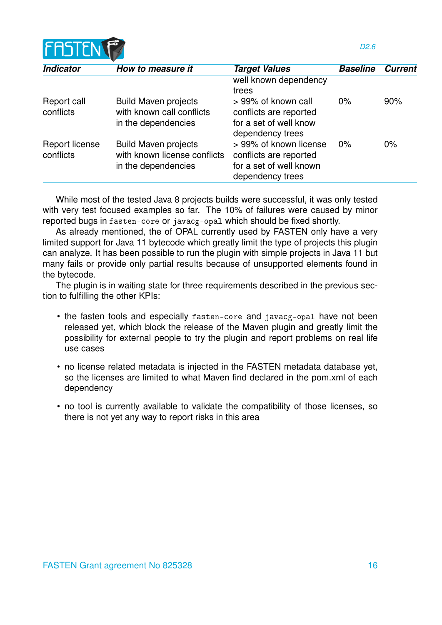

| <b>Indicator</b>            | How to measure it                                                                  | <b>Target Values</b>                                                                            | <b>Baseline</b> | <b>Current</b> |
|-----------------------------|------------------------------------------------------------------------------------|-------------------------------------------------------------------------------------------------|-----------------|----------------|
|                             |                                                                                    | well known dependency                                                                           |                 |                |
|                             |                                                                                    | trees                                                                                           |                 |                |
| Report call<br>conflicts    | <b>Build Maven projects</b><br>with known call conflicts<br>in the dependencies    | > 99% of known call<br>conflicts are reported<br>for a set of well know<br>dependency trees     | 0%              | 90%            |
| Report license<br>conflicts | <b>Build Maven projects</b><br>with known license conflicts<br>in the dependencies | > 99% of known license<br>conflicts are reported<br>for a set of well known<br>dependency trees | 0%              | $0\%$          |

While most of the tested Java 8 projects builds were successful, it was only tested with very test focused examples so far. The 10% of failures were caused by minor reported bugs in fasten-core or javacg-opal which should be fixed shortly.

As already mentioned, the of OPAL currently used by FASTEN only have a very limited support for Java 11 bytecode which greatly limit the type of projects this plugin can analyze. It has been possible to run the plugin with simple projects in Java 11 but many fails or provide only partial results because of unsupported elements found in the bytecode.

The plugin is in waiting state for three requirements described in the previous section to fulfilling the other KPIs:

- the fasten tools and especially fasten-core and javacg-opal have not been released yet, which block the release of the Maven plugin and greatly limit the possibility for external people to try the plugin and report problems on real life use cases
- no license related metadata is injected in the FASTEN metadata database yet, so the licenses are limited to what Maven find declared in the pom.xml of each dependency
- no tool is currently available to validate the compatibility of those licenses, so there is not yet any way to report risks in this area

*D2.6*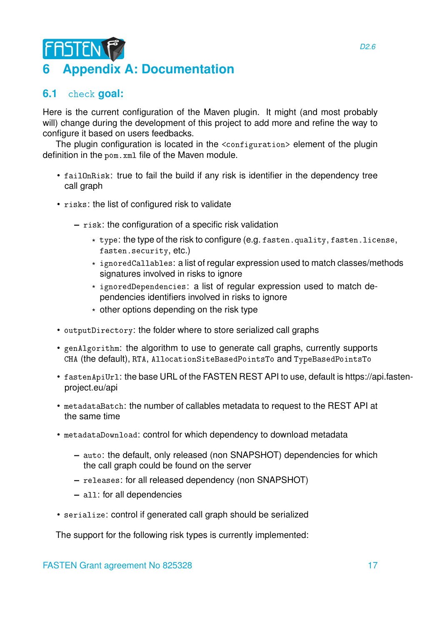# <span id="page-16-0"></span>**FASTEN 6 Appendix A: Documentation**

## <span id="page-16-1"></span>**6.1** check **goal:**

Here is the current configuration of the Maven plugin. It might (and most probably will) change during the development of this project to add more and refine the way to configure it based on users feedbacks.

The plugin configuration is located in the <configuration> element of the plugin definition in the pom.xml file of the Maven module.

- failOnRisk: true to fail the build if any risk is identifier in the dependency tree call graph
- risks: the list of configured risk to validate
	- **–** risk: the configuration of a specific risk validation
		- \* type: the type of the risk to configure (e.g. fasten.quality, fasten.license, fasten.security, etc.)
		- \* ignoredCallables: a list of regular expression used to match classes/methods signatures involved in risks to ignore
		- \* ignoredDependencies: a list of regular expression used to match dependencies identifiers involved in risks to ignore
		- \* other options depending on the risk type
- outputDirectory: the folder where to store serialized call graphs
- genAlgorithm: the algorithm to use to generate call graphs, currently supports CHA (the default), RTA, AllocationSiteBasedPointsTo and TypeBasedPointsTo
- fastenApiUrl: the base URL of the FASTEN REST API to use, default is https://api.fastenproject.eu/api
- metadataBatch: the number of callables metadata to request to the REST API at the same time
- metadataDownload: control for which dependency to download metadata
	- **–** auto: the default, only released (non SNAPSHOT) dependencies for which the call graph could be found on the server
	- **–** releases: for all released dependency (non SNAPSHOT)
	- **–** all: for all dependencies
- serialize: control if generated call graph should be serialized

The support for the following risk types is currently implemented: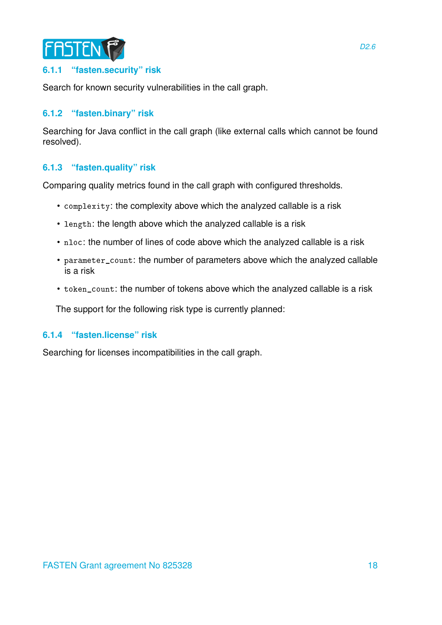

#### <span id="page-17-0"></span>**6.1.1 "fasten.security" risk**

Search for known security vulnerabilities in the call graph.

#### <span id="page-17-1"></span>**6.1.2 "fasten.binary" risk**

Searching for Java conflict in the call graph (like external calls which cannot be found resolved).

#### <span id="page-17-2"></span>**6.1.3 "fasten.quality" risk**

Comparing quality metrics found in the call graph with configured thresholds.

- complexity: the complexity above which the analyzed callable is a risk
- length: the length above which the analyzed callable is a risk
- nloc: the number of lines of code above which the analyzed callable is a risk
- parameter\_count: the number of parameters above which the analyzed callable is a risk
- token\_count: the number of tokens above which the analyzed callable is a risk

The support for the following risk type is currently planned:

#### <span id="page-17-3"></span>**6.1.4 "fasten.license" risk**

Searching for licenses incompatibilities in the call graph.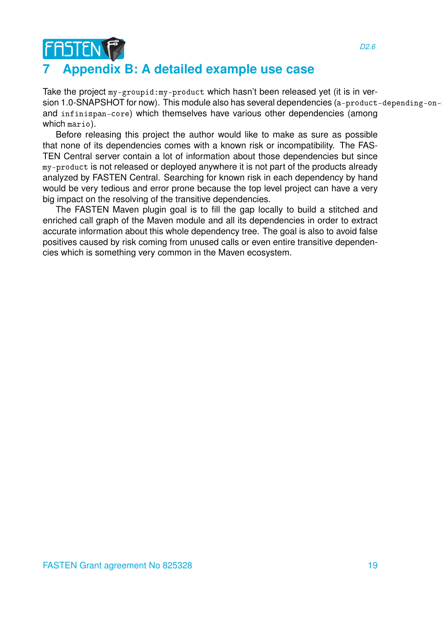## <span id="page-18-0"></span>**7 Appendix B: A detailed example use case**

FASTENT

Take the project my-groupid:my-product which hasn't been released yet (it is in version 1.0-SNAPSHOT for now). This module also has several dependencies (a-product-depending-onand infinispan-core) which themselves have various other dependencies (among which mario).

Before releasing this project the author would like to make as sure as possible that none of its dependencies comes with a known risk or incompatibility. The FAS-TEN Central server contain a lot of information about those dependencies but since my-product is not released or deployed anywhere it is not part of the products already analyzed by FASTEN Central. Searching for known risk in each dependency by hand would be very tedious and error prone because the top level project can have a very big impact on the resolving of the transitive dependencies.

The FASTEN Maven plugin goal is to fill the gap locally to build a stitched and enriched call graph of the Maven module and all its dependencies in order to extract accurate information about this whole dependency tree. The goal is also to avoid false positives caused by risk coming from unused calls or even entire transitive dependencies which is something very common in the Maven ecosystem.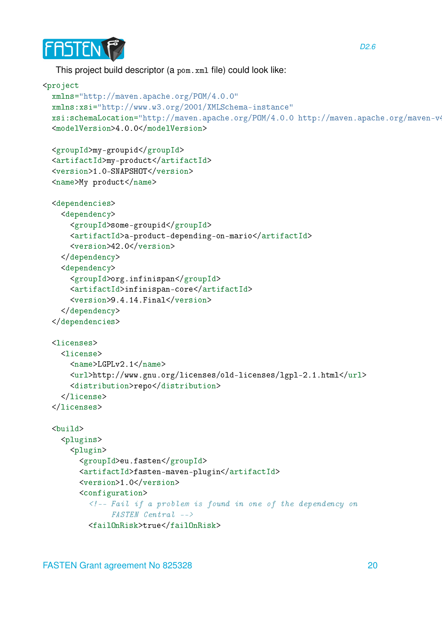

This project build descriptor (a pom.xml file) could look like:

```
<project
 xmlns="http://maven.apache.org/POM/4.0.0"
 xmlns:xsi="http://www.w3.org/2001/XMLSchema-instance"
 xsi:schemaLocation="http://maven.apache.org/POM/4.0.0 http://maven.apache.org/maven-v4
 <modelVersion>4.0.0</modelVersion>
 <groupId>my-groupid</groupId>
 <artifactId>my-product</artifactId>
 <version>1.0-SNAPSHOT</version>
 <name>My product</name>
 <dependencies>
    <dependency>
      <groupId>some-groupid</groupId>
      <artifactId>a-product-depending-on-mario</artifactId>
      <version>42.0</version>
    </dependency>
    <dependency>
      <groupId>org.infinispan</groupId>
      <artifactId>infinispan-core</artifactId>
      <version>9.4.14.Final</version>
    </dependency>
 </dependencies>
 <licenses>
    <license>
      <sub>name</sub> > LGPLv2.1 < /name</sub>
      <url>http://www.gnu.org/licenses/old-licenses/lgpl-2.1.html</url>
      <distribution>repo</distribution>
    </license>
 </licenses>
 <build>
    <plugins>
      <plugin>
        <groupId>eu.fasten</groupId>
        <artifactId>fasten-maven-plugin</artifactId>
        <version>1.0</version>
        <configuration>
          <!-- Fail if a problem is found in one of the dependency on
               FASTEN Central -->
          <failOnRisk>true</failOnRisk>
```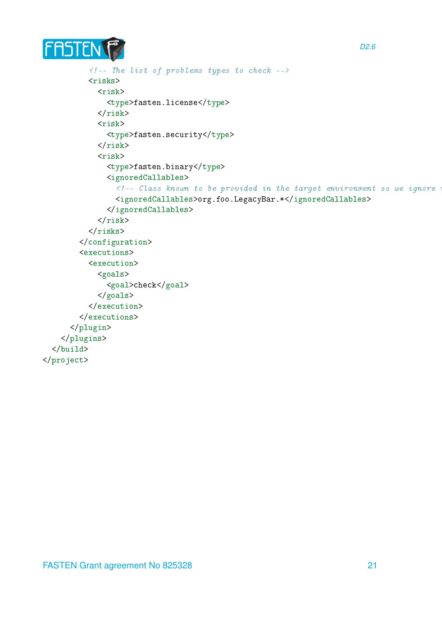

```
\langle!-- The list of problems types to check -->
           <risks>
             <risk>
               <type>fasten.license</type>
             \langlerisk>
             <risk>
               <type>fasten.security</type>
             \langlerisk>
             <risk>
               <type>fasten.binary</type>
               <ignoredCallables>
                 \langle!-- Class known to be provided in the target environment so we ignore
                 <ignoredCallables>org.foo.LegacyBar.*</ignoredCallables>
               </ignoredCallables>
             \langlerisk>
          \langlerisks>
        </configuration>
        <executions>
           <execution>
             <goals>
               <goal>check</goal>
             </goals>
           </execution>
        </executions>
      </plugin>
    </plugins>
  </build>
</project>
```
*D2.6*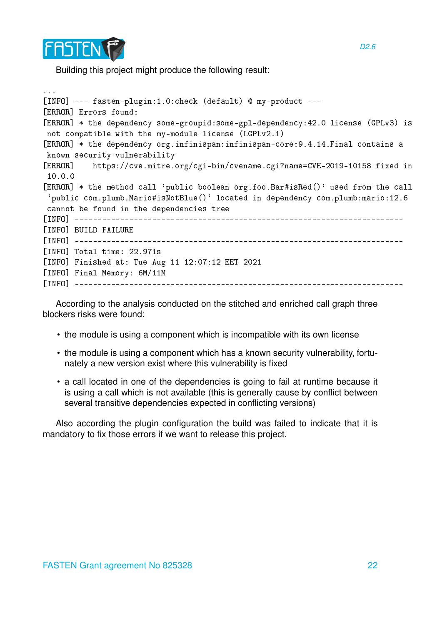

Building this project might produce the following result:

```
...
[INFO] --- fasten-plugin:1.0:check (default) @ my-product ---
[ERROR] Errors found:
[ERROR] * the dependency some-groupid:some-gpl-dependency:42.0 license (GPLv3) is
not compatible with the my-module license (LGPLv2.1)
[ERROR] * the dependency org.infinispan:infinispan-core:9.4.14.Final contains a
known security vulnerability
[ERROR] https://cve.mitre.org/cgi-bin/cvename.cgi?name=CVE-2019-10158 fixed in
10.0.0
[ERROR] * the method call 'public boolean org.foo.Bar#isRed()' used from the call
`public com.plumb.Mario#isNotBlue()` located in dependency com.plumb:mario:12.6
cannot be found in the dependencies tree
[INFO] ------------------------------------------------------------------------
[INFO] BUILD FAILURE
[INFO] ------------------------------------------------------------------------
[INFO] Total time: 22.971s
[INFO] Finished at: Tue Aug 11 12:07:12 EET 2021
[INFO] Final Memory: 6M/11M
[INFO] ------------------------------------------------------------------------
```
According to the analysis conducted on the stitched and enriched call graph three blockers risks were found:

- the module is using a component which is incompatible with its own license
- the module is using a component which has a known security vulnerability, fortunately a new version exist where this vulnerability is fixed
- a call located in one of the dependencies is going to fail at runtime because it is using a call which is not available (this is generally cause by conflict between several transitive dependencies expected in conflicting versions)

Also according the plugin configuration the build was failed to indicate that it is mandatory to fix those errors if we want to release this project.